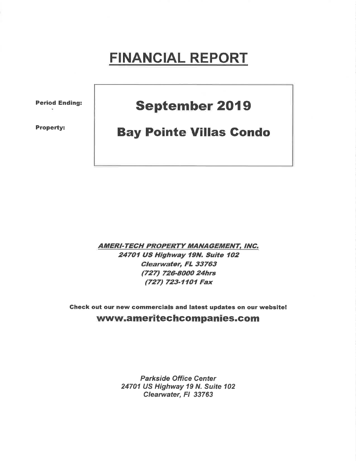# FINANCIAL REPORT

Period Ending:

Property:

## September 2019

### Bay Pointe Villas Gondo

**AMERI-TECH PROPERTY MANAGEMENT, INC.** 24701 US Highway 19N. Suite 102 Clearwater, FL 33763 (727) 726-8000 24hrs (727) 723-1101 Fax

Gheck out our new commercials and latest updates on our website! www.ameritechcompanies.com

> Parkside Office Center 24701 US Highway 19 N. Suite 102 Clearwater, Fl 33763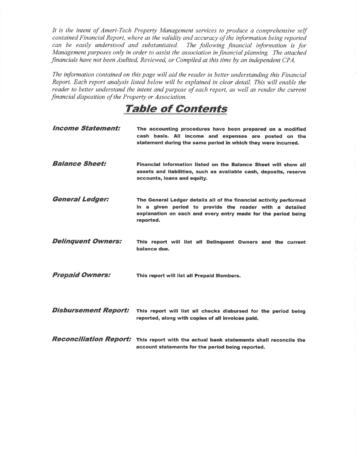It is the intent of Ameri-Tech Property Management services to produce a comprehensive self contained Financial Report, where as the validity and accuracy of the information being reported can be easily understood and substantiated. The following financial information is for Management purposes only in order to assist the association in financial planning. The attached financials have not been Audited, Reviewed, or Compiled at this time by an independent CPA.

The information contained on this page will aid the reader in better understanding this Financial Report. Each report analysis listed below will be explained in clear detail. This will enable the reader to better understand the intent and purpose of each report, as well as render the current financial disposition of the Property or Association.

### TaþIe of Contents

| <b>Income Statement:</b>             | The accounting procedures have been prepared on a modified<br>cash basis. All income and expenses are posted on the<br>statement during the same period in which they were incurred.                        |
|--------------------------------------|-------------------------------------------------------------------------------------------------------------------------------------------------------------------------------------------------------------|
| <b>Balance Sheet:</b>                | Financial information listed on the Balance Sheet will show all<br>assets and liabilities, such as available cash, deposits, reserve<br>accounts, loans and equity.                                         |
| <b>General Ledger:</b>               | The General Ledger details all of the financial activity performed<br>in a given period to provide the reader with a detailed<br>explanation on each and every entry made for the period being<br>reported. |
| <b>Delinquent Owners:</b>            | This report will list all Delinguent Owners and the current<br>balance due.                                                                                                                                 |
| <b>Prepaid Owners:</b>               | This report will list all Prepaid Members.                                                                                                                                                                  |
| Disbursement Report:                 | This report will list all checks disbursed for the period being<br>reported, along with copies of all invoices paid,                                                                                        |
| <i><b>Reconciliation Report:</b></i> | This report with the actual bank statements shall reconcile the<br>account statements for the period being reported.                                                                                        |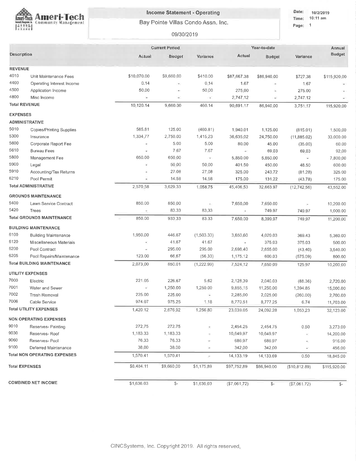

#### **Income Statement - Operating**

Bay Pointe Villas Condo Assn. Inc.

09/30/2019

| me:  | $10:11$ an |  |
|------|------------|--|
| ige: |            |  |

|                       |                                     |                          | <b>Current Period</b>             |                          | Year-to-date | Annual         |                       |               |
|-----------------------|-------------------------------------|--------------------------|-----------------------------------|--------------------------|--------------|----------------|-----------------------|---------------|
| <b>Description</b>    |                                     | Actual                   | Budget                            | Variance                 | Actual       | Budget         | Variance              | <b>Budget</b> |
| <b>REVENUE</b>        |                                     |                          |                                   |                          |              |                |                       |               |
| 4010                  | Unit Maintenance Fees               | \$10,070,00              | \$9,660,00                        | \$410.00                 | \$87,667.38  | \$86,940,00    | \$727.38              | \$115,920.00  |
| 4400                  | Operating Interest Income           | 0.14                     | $\left\langle \Psi \right\rangle$ | 0:14                     | 1.67         | $\sim$         | 1.67                  |               |
| 4500                  | Application Income                  | 50.00                    | ٠                                 | 50.00                    | 275,00       | $\sim$         | 275.00                |               |
| 4800                  | Misc Income                         | ×                        | $\sim$                            | G.                       | 2,747,12     | F.             | 2,747.12              |               |
| <b>Total REVENUE</b>  |                                     | 10,120.14                | 9,660.00                          | 460.14                   | 90,691.17    | 86,940.00      | 3,751.17              | 115,920.00    |
| <b>EXPENSES</b>       |                                     |                          |                                   |                          |              |                |                       |               |
| <b>ADMINISTRATIVE</b> |                                     |                          |                                   |                          |              |                |                       |               |
| 5010                  | Copies/Printing Supplies            | 585.81                   | 125.00                            | (460.81)                 | 1,940.01     | 1,125.00       | (815.01)              | 1,500.00      |
| 5300                  | Insurance                           | 1,334.77                 | 2,750.00                          | 1,415,23                 | 36,635.02    | 24,750.00      | (11,885.02)           | 33,000.00     |
| 5600                  | Corporate Report Fee                | $\overline{\phantom{a}}$ | 5.00                              | 5.00                     | 80.00        | 45.00          | (35.00)               | 60.00         |
| 5610                  | <b>Bureau Fees</b>                  |                          | 7.67                              | 7.67                     | $\sim$       | 69.03          | 69,03                 | 92,00         |
| 5800                  | Management Fee                      | 650.00                   | 650 00                            | $\mathcal{L}$            | 5,850.00     | 5,850.00       | ÷,                    | 7,800.00      |
| 5900                  | Legal                               | Ψ                        | 50,00                             | 50,00                    | 401.50       | 450.00         | 48.50                 | 600.00        |
| 5910                  | Accounting/Tax Returns              |                          | 27.08                             | 27,08                    | 325.00       | 243.72         | (81.28)               | 325.00        |
| 6210                  | Pool Permit                         |                          | 14.58                             | 14,58                    | 175,00       | 131.22         | (43.78)               | 175.00        |
|                       | <b>Total ADMINISTRATIVE</b>         | 2,570.58                 | 3,629.33                          | 1,058.75                 | 45,406,53    | 32,663.97      | (12, 742, 56)         | 43,552.00     |
|                       | <b>GROUNDS MAINTENANCE</b>          |                          |                                   |                          |              |                |                       |               |
| 5400                  | Lawn Service Contract               | 850.00                   | 850.00                            | $\overline{\phantom{a}}$ | 7,650.00     | 7,650.00       | ×                     | 10,200.00     |
| 5420                  | Trees                               |                          | 83.33                             | 83,33                    |              | 749.97         | 749.97                | 1,000.00      |
|                       | <b>Total GROUNDS MAINTENANCE</b>    | 850.00                   | 933.33                            | 83.33                    | 7,650.00     | 8,399.97       | 749.97                | 11,200,00     |
|                       | <b>BUILDING MAINTENANCE</b>         |                          |                                   |                          |              |                |                       |               |
| 6100                  | <b>Building Maintenance</b>         | 1,950.00                 | 446.67                            | (1,503.33)               | 3,650,60     | 4,020.03       | 369.43                | 5,360.00      |
| 6120                  | Miscellaneous Materials             |                          | 41.67                             | 41.67                    |              | 375.03         | 375.03                | 500.00        |
| 6200                  | Pool Contract                       |                          | 295.00                            | 295.00                   | 2,698.40     | 2,655.00       | (43, 40)              | 3,540.00      |
| 6205                  | Pool Repairs/Maintenance            | 123.00                   | 66.67                             | (56, 33)                 | 1,175.12     | 600.03         | (575.09)              | 800.00        |
|                       | <b>Total BUILDING MAINTENANCE</b>   | 2,073.00                 | 850.01                            | (1,222.99)               | 7,524,12     | 7,650.09       | 125.97                | 10,200.00     |
|                       | <b>UTILITY EXPENSES</b>             |                          |                                   |                          |              |                |                       |               |
| 7000                  | Electric                            | 221.05                   | 226.67                            | 5.62                     | 2,128.39     | 2,040.03       | (88.36)               | 2,720.00      |
| 7001                  | Water and Sewer                     | ë                        | 1,250.00                          | 1,250.00                 | 9,855.15     | 11,250.00      | 1,394.85              | 15,000.00     |
| 7002                  | <b>Trash Removal</b>                | 225.00                   | 225.00                            |                          | 2,285.00     | 2,025 00       | (260.00)              | 2,700.00      |
| 7006                  | Cable Service                       | 974.07                   | 975.25                            | 1,18                     | 8,770.51     | 8,777.25       | 6.74                  | 11,703.00     |
|                       | <b>Total UTILITY EXPENSES</b>       | 1,420.12                 | 2,676.92                          | 1,256,80                 | 23,039.05    | 24,092.28      | 1,053.23              | 32,123.00     |
|                       | <b>NON OPERATING EXPENSES</b>       |                          |                                   |                          |              |                |                       |               |
| 9010                  | Reserves- Painting                  | 272.75                   | 272.75                            | n.                       | 2,454.25     | 2,454,75       | 0,50                  | 3,273,00      |
| 9030                  | Reserves-Roof                       | 1,183.33                 | 1,183.33                          |                          | 10,649.97    | 10,649.97      | $\frac{1}{2}$         | 14,200.00     |
| 9060                  | Reserves-Pool                       | 76.33                    | 76.33                             |                          | 686.97       | 686.97         | ÷                     | 916.00        |
| 9100                  | Deferred Maintenance                | 38.00                    | 38.00                             | ×                        | 342.00       | 342.00         | $\tilde{\mathcal{M}}$ | 456.00        |
|                       | <b>Total NON OPERATING EXPENSES</b> | 1,570.41                 | 1,570.41                          | ÷                        | 14,133.19    | 14,133.69      | 0.50                  | 18,845.00     |
| <b>Total EXPENSES</b> |                                     | \$8,484.11               | \$9,660.00                        | \$1,175.89               | \$97,752.89  | \$86,940.00    | (\$10,812.89)         | \$115,920.00  |
|                       | <b>COMBINED NET INCOME</b>          | \$1,636.03               | $\mathbb{S}^-$                    | \$1,636.03               | (\$7,061,72) | $\mathbb{S}^-$ | (\$7,061.72)          | $S-$          |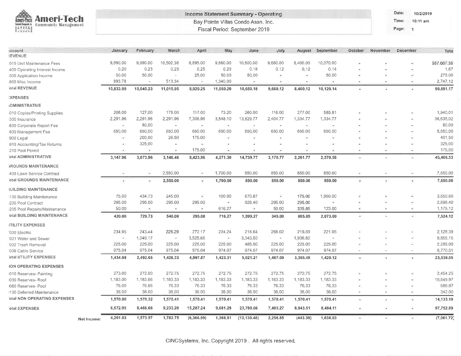| <b>Ameri-Tech</b> |
|-------------------|
|                   |

#### Income Statement Summary - Operating Bay Pointe Villas Condo Assn. Inc.

Fiscal Period: September 2019

Date: 10/2/2019 Time: 10:11 am

Page: 1

| <b><i><u>ccount</u></i></b><br><b>REVENUE</b> |             | January                  | February                 | March                    | April                                 | May                      | June          | July                     | August   | September.               | October        | November                 | <b>December</b> | Tota        |
|-----------------------------------------------|-------------|--------------------------|--------------------------|--------------------------|---------------------------------------|--------------------------|---------------|--------------------------|----------|--------------------------|----------------|--------------------------|-----------------|-------------|
| 010 Unit Maintenance Fees                     |             | 9,890.00                 | 9,990.00                 | 10,502,38                | 8,895.00                              | 9,660.00                 | 10,600.00     | 9,660.00                 | 8,400.00 | 10,070,00                |                |                          |                 | \$87,667.38 |
| 400 Operating Interest Income                 |             | 0.20                     | 0.23                     | 0.23                     | 0.25                                  | 0.20                     | 0.18          | 0.12                     | $0 - 12$ | 0.14                     |                |                          |                 | 1.67        |
| 500 Application Income                        |             | 50.00                    | 50.00                    | $\overline{\phantom{a}}$ | 25,00                                 | 50,00                    | 50.00         | Ξ                        | C)       | 50.00                    | ÷.             |                          |                 | 275.00      |
| 800 Misc Income                               |             | 893.78                   | $\sim$                   | 513.34                   | $\overline{\phantom{a}}$              | 1,340.00                 | G.            | £,                       | ×.       | ۰                        | œ.             | ×                        | $\sim$          | 2,747.12    |
| otal REVENUE                                  |             | 10,833.98                | 10,040.23                | 11,015.95                | 8,920.25                              | 11,050.20                | 10,650.18     | 9,660.12                 | 8,400.12 | 10,120.14                |                |                          |                 | 90,691.17   |
| <b>EXPENSES</b>                               |             |                          |                          |                          |                                       |                          |               |                          |          |                          |                |                          |                 |             |
| <b>IDMINISTRATIVE</b>                         |             |                          |                          |                          |                                       |                          |               |                          |          |                          |                |                          |                 |             |
| 010 Copies/Printing Supplies                  |             | 206:00                   | 127.00                   | 178:00                   | 117.00                                | 73.20                    | 260.00        | 116.00                   | 277.00   | 585.81                   |                |                          |                 | 1,940.01    |
| 300 Insurance                                 |             | 2,291.96                 | 2,291.96                 | 2,291.96                 | 7,306.96                              | 3,548.10                 | 13,829.77     | 2,404.77                 | 1,334.77 | 1,334.77                 |                |                          |                 | 36,635.02   |
| 600 Corporate Report Fee                      |             | $\overline{\phantom{a}}$ | 80.00                    | $\sim$                   | $\mathcal{F}^{\bullet}_{\mathcal{F}}$ | Ø.                       | $\mathcal{C}$ | $\overline{\phantom{a}}$ | ×,       | $\bar{a}$                |                |                          |                 | 80.00       |
| 800 Management Fee                            |             | 650,00                   | 650.00                   | 650.00                   | 650.00                                | 650.00                   | 650.00        | 650.00                   | 650.00   | 650,00                   |                |                          |                 | 5,850.00    |
| 800 Legal                                     |             | $\rightarrow$            | 200.00                   | 26.50                    | 175.00                                | ¥9                       |               | ¥.                       | Ŵ.       | ÷                        |                |                          |                 | 401.50      |
| 810 Accounting/Tax Returns                    |             | $\overline{\phantom{a}}$ | 325.00                   | $\sim$                   | $\mathcal{M}_{\mathcal{A}}$           | ٠                        |               |                          |          |                          |                |                          |                 | 325.00      |
| 210 Pool Permit                               |             | $\sim$                   | $\overline{\phantom{a}}$ | $\bar{a}$                | 175.00                                | ÷.                       |               | ×                        | ×        | ٠                        | ٠              |                          | $\sim$          | 175.00      |
| otal ADMINISTRATIVE                           |             | 3,147.96                 | 3,673.96                 | 3,146.46                 | 8,423.96                              | 4,271.30                 | 14,739.77     | 3,170.77                 | 2,261.77 | 2,570.58                 | $\sim$         |                          |                 | 45,406.53   |
| <b>SROUNDS MAINTENANCE</b>                    |             |                          |                          |                          |                                       |                          |               |                          |          |                          |                |                          |                 |             |
| 400 Lawn Service Contract                     |             | ò.                       | ÷,                       | 2,550.00                 | $\overline{\phantom{a}}$              | 1,700.00                 | 850.00        | 850.00                   | 850.00   | 850.00                   |                | $\overline{\bullet}$     |                 | 7,650.00    |
| otal GROUNDS MAINTENANCE                      |             | $\overline{\phantom{a}}$ | ٠                        | 2,550.00                 | B                                     | 1,700.00                 | 850.00        | 850.00                   | 850.00   | 850.00                   | ٠              | ٠                        | ×               | 7,650.00    |
| <b><i>IUILDING MAINTENANCE</i></b>            |             |                          |                          |                          |                                       |                          |               |                          |          |                          |                |                          |                 |             |
| i100 Building Maintenance                     |             | 75,00                    | 434.73                   | 245.00                   | ÷                                     | 100.00                   | 670.87        | Ξ                        | 175.00   | 1,950.00                 |                |                          |                 | 3,650.60    |
| 200 Pool Contract                             |             | 295.00                   | 295.00                   | 295.00                   | 295.00                                | $\overline{\phantom{a}}$ | 928.40        | 295.00                   | 295.00   | $\overline{\phantom{a}}$ |                |                          |                 | 2,698.40    |
| i205 Pool Repairs/Maintenance                 |             | 50:00                    | ×.                       | ×                        | $\mathcal{M}$                         | 616.27                   | ×             | 50.00                    | 335.85   | 123.00                   | ¥,             |                          |                 | 1,175.12    |
| otal BUILDING MAINTENANCE                     |             | 420.00                   | 729.73                   | 540.00                   | 295.00                                | 716,27                   | 1,599.27      | 345.00                   | 805.85   | 2,073.00                 | ٠              |                          | £.              | 7,524.12    |
| <b>JTILITY EXPENSES</b>                       |             |                          |                          |                          |                                       |                          |               |                          |          |                          |                |                          |                 |             |
| 000 Electric                                  |             | 234.95                   | 243.44                   | 226.29                   | 272.17                                | 224.24                   | 218.64        | 268.02                   | 219.59   | 221.05                   |                |                          |                 | 2,128.39    |
| 001 Water and Sewer                           |             | $\overline{\phantom{a}}$ | 1,049.17                 | $\overline{\phantom{a}}$ | 3,525.66                              | $\overline{\phantom{a}}$ | 3,343.50      | ×                        | 1,936.82 | $\overline{\phantom{a}}$ |                |                          |                 | 9,855.15    |
| 002 Trash Removal                             |             | 225.00                   | 225.00                   | 225.00                   | 225.00                                | 225.00                   | 485.00        | 225.00                   | 225.00   | 225.00                   |                |                          |                 | 2,285.00    |
| '006 Cable Service                            |             | 975.04                   | 975.04                   | 975.04                   | 975.04                                | 974.07                   | 974.07        | 974.07                   | 974.07   | 974.07                   |                |                          |                 | 8,770.51    |
| otal UTILITY EXPENSES                         |             | 1,434.99                 | 2,492.65                 | 1,426.33                 | 4,997.87                              | 1,423.31                 | 5,021.21      | 1,467.09                 | 3,355.48 | 1,420.12                 | ÷.             |                          |                 | 23,039.05   |
| <b>ION OPERATING EXPENSES</b>                 |             |                          |                          |                          |                                       |                          |               |                          |          |                          |                |                          |                 |             |
| 010 Reserves- Painting                        |             | 273.00                   | 272.00                   | 272.75                   | 272.75                                | 272.75                   | 272.75        | 272-75                   | 272.75   | 272.75                   |                |                          |                 | 2,454.25    |
| 030 Reserves- Roof                            |             | 1,183.00                 | 1,183.66                 | 1,183.33                 | 1,183.33                              | 1,183.33                 | 1,183,33      | 1,183.33                 | 1,183.33 | 1,183.33                 |                |                          |                 | 10,649.97   |
| 060 Reserves- Pool                            |             | 76,00                    | 76.66                    | 76.33                    | 76.33                                 | 76.33                    | 76.33         | 76.33                    | 76.33    | 76.33                    |                |                          |                 | 686.97      |
| 1100 Deferred Maintenance                     |             | 38,00                    | 38.00                    | 38.00                    | 38.00                                 | 38,00                    | 38.00         | 38.00                    | 38.00    | 38,00                    | o.             | $\omega$                 | A)              | 342.00      |
| otal NON OPERATING EXPENSES                   |             | 1,570.00                 | 1,570.32                 | 1,570.41                 | 1,570.41                              | 1,570.41                 | 1,570.41      | 1,570.41                 | 1,570.41 | 1,570.41                 | $\bullet$ :    | $\overline{\phantom{a}}$ | $\bullet$       | 14,133.19   |
| otal EXPENSES                                 |             | 6,572.95                 | 8,466.66                 | 9,233.20                 | 15,287.24                             | 9,681.29                 | 23,780.66     | 7,403.27                 | 8,843.51 | 8,484.11                 | $\sigma$       | $\mathcal{P}$            |                 | 97,752.89   |
|                                               | Net Income: | 4,261.03                 | 1,573.57                 | 1,782.75                 | (6, 366.99)                           | 1,368.91                 | (13, 130.48)  | 2,256.85                 | (443.39) | 1,636.03                 | $\overline{a}$ | ×.                       | $\sim$          | (7,061.72)  |